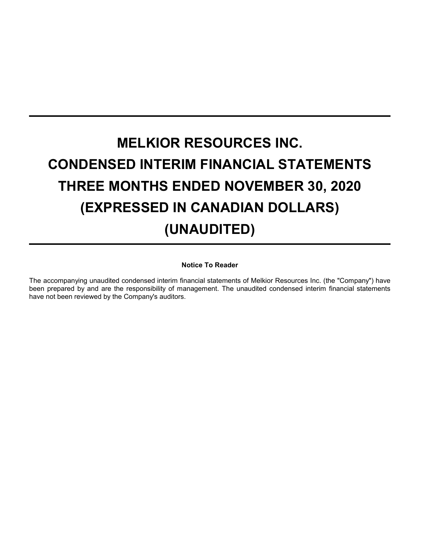# **MELKIOR RESOURCES INC. CONDENSED INTERIM FINANCIAL STATEMENTS THREE MONTHS ENDED NOVEMBER 30, 2020 (EXPRESSED IN CANADIAN DOLLARS) (UNAUDITED)**

# **Notice To Reader**

The accompanying unaudited condensed interim financial statements of Melkior Resources Inc. (the "Company") have been prepared by and are the responsibility of management. The unaudited condensed interim financial statements have not been reviewed by the Company's auditors.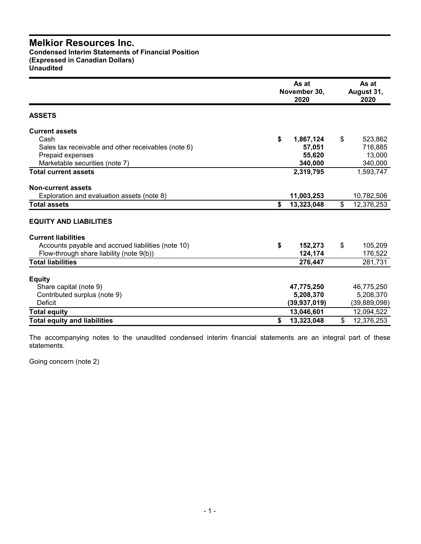# **Melkior Resources Inc. Condensed Interim Statements of Financial Position**

**(Expressed in Canadian Dollars) Unaudited**

|                                                     | As at<br>November 30,<br>2020 |    |                |  |
|-----------------------------------------------------|-------------------------------|----|----------------|--|
| <b>ASSETS</b>                                       |                               |    |                |  |
| <b>Current assets</b>                               |                               |    |                |  |
| Cash                                                | \$<br>1,867,124               | \$ | 523,862        |  |
| Sales tax receivable and other receivables (note 6) | 57,051                        |    | 716,885        |  |
| Prepaid expenses                                    | 55,620                        |    | 13,000         |  |
| Marketable securities (note 7)                      | 340,000                       |    | 340,000        |  |
| <b>Total current assets</b>                         | 2,319,795                     |    | 1,593,747      |  |
| <b>Non-current assets</b>                           |                               |    |                |  |
| Exploration and evaluation assets (note 8)          | 11,003,253                    |    | 10,782,506     |  |
| <b>Total assets</b>                                 | \$<br>13,323,048              | \$ | 12,376,253     |  |
| <b>EQUITY AND LIABILITIES</b>                       |                               |    |                |  |
| <b>Current liabilities</b>                          |                               |    |                |  |
| Accounts payable and accrued liabilities (note 10)  | \$<br>152,273                 | \$ | 105,209        |  |
| Flow-through share liability (note 9(b))            | 124,174                       |    | 176,522        |  |
| <b>Total liabilities</b>                            | 276,447                       |    | 281,731        |  |
| <b>Equity</b>                                       |                               |    |                |  |
| Share capital (note 9)                              | 47,775,250                    |    | 46,775,250     |  |
| Contributed surplus (note 9)                        | 5,208,370                     |    | 5,208,370      |  |
| <b>Deficit</b>                                      | (39, 937, 019)                |    | (39, 889, 098) |  |
| <b>Total equity</b>                                 | 13,046,601                    |    | 12,094,522     |  |
| <b>Total equity and liabilities</b>                 | \$<br>13,323,048              | \$ | 12,376,253     |  |

The accompanying notes to the unaudited condensed interim financial statements are an integral part of these statements.

Going concern (note 2)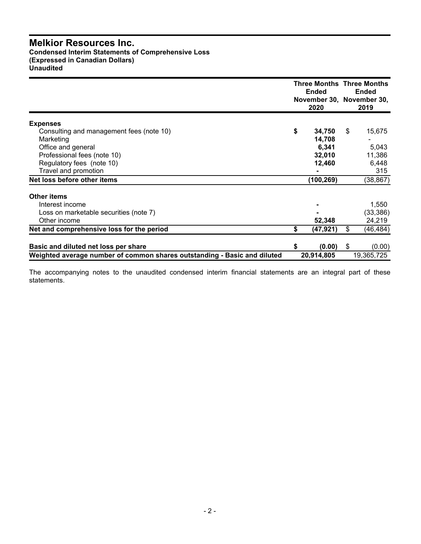# **Melkior Resources Inc.**

**Condensed Interim Statements of Comprehensive Loss (Expressed in Canadian Dollars) Unaudited**

|                                                                          |    | <b>Three Months Three Months</b><br>Ended<br>November 30, November 30,<br>2020 |    | <b>Ended</b><br>2019 |
|--------------------------------------------------------------------------|----|--------------------------------------------------------------------------------|----|----------------------|
| <b>Expenses</b>                                                          |    |                                                                                |    |                      |
| Consulting and management fees (note 10)                                 | \$ | 34,750                                                                         | \$ | 15,675               |
| Marketing                                                                |    | 14,708                                                                         |    |                      |
| Office and general                                                       |    | 6,341                                                                          |    | 5,043                |
| Professional fees (note 10)                                              |    | 32,010                                                                         |    | 11,386               |
| Regulatory fees (note 10)                                                |    | 12,460                                                                         |    | 6,448                |
| Travel and promotion                                                     |    |                                                                                |    | 315                  |
| Net loss before other items                                              |    | (100, 269)                                                                     |    | (38, 867)            |
| <b>Other items</b>                                                       |    |                                                                                |    |                      |
| Interest income                                                          |    |                                                                                |    | 1,550                |
| Loss on marketable securities (note 7)                                   |    |                                                                                |    | (33, 386)            |
| Other income                                                             |    | 52,348                                                                         |    | 24,219               |
| Net and comprehensive loss for the period                                | \$ | (47,921)                                                                       | \$ | (46,484)             |
|                                                                          |    |                                                                                |    |                      |
| Basic and diluted net loss per share                                     | S  | (0.00)                                                                         | S  | (0.00)               |
| Weighted average number of common shares outstanding - Basic and diluted |    | 20,914,805                                                                     |    | 19,365,725           |

The accompanying notes to the unaudited condensed interim financial statements are an integral part of these statements.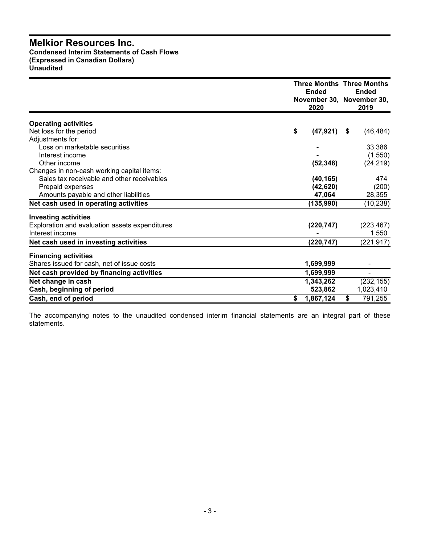# **Melkior Resources Inc. Condensed Interim Statements of Cash Flows (Expressed in Canadian Dollars) Unaudited**

|                                                | <b>Three Months Three Months</b><br><b>Ended</b><br>November 30, November 30,<br>2020 |      | <b>Ended</b><br>2019 |
|------------------------------------------------|---------------------------------------------------------------------------------------|------|----------------------|
| <b>Operating activities</b>                    |                                                                                       |      |                      |
| Net loss for the period                        | \$<br>(47, 921)                                                                       | - \$ | (46, 484)            |
| Adjustments for:                               |                                                                                       |      |                      |
| Loss on marketable securities                  |                                                                                       |      | 33,386               |
| Interest income                                |                                                                                       |      | (1,550)              |
| Other income                                   | (52, 348)                                                                             |      | (24, 219)            |
| Changes in non-cash working capital items:     |                                                                                       |      |                      |
| Sales tax receivable and other receivables     | (40, 165)                                                                             |      | 474                  |
| Prepaid expenses                               | (42, 620)                                                                             |      | (200)                |
| Amounts payable and other liabilities          | 47.064                                                                                |      | 28,355               |
| Net cash used in operating activities          | (135,990)                                                                             |      | (10, 238)            |
| <b>Investing activities</b>                    |                                                                                       |      |                      |
| Exploration and evaluation assets expenditures | (220, 747)                                                                            |      | (223, 467)           |
| Interest income                                |                                                                                       |      | 1,550                |
| Net cash used in investing activities          | (220, 747)                                                                            |      | (221, 917)           |
| <b>Financing activities</b>                    |                                                                                       |      |                      |
| Shares issued for cash, net of issue costs     | 1,699,999                                                                             |      | $\blacksquare$       |
| Net cash provided by financing activities      | 1,699,999                                                                             |      | $\blacksquare$       |
| Net change in cash                             | 1,343,262                                                                             |      | (232, 155)           |
| Cash, beginning of period                      | 523,862                                                                               |      | 1,023,410            |
| Cash, end of period                            | \$<br>1,867,124                                                                       | \$   | 791,255              |

The accompanying notes to the unaudited condensed interim financial statements are an integral part of these statements.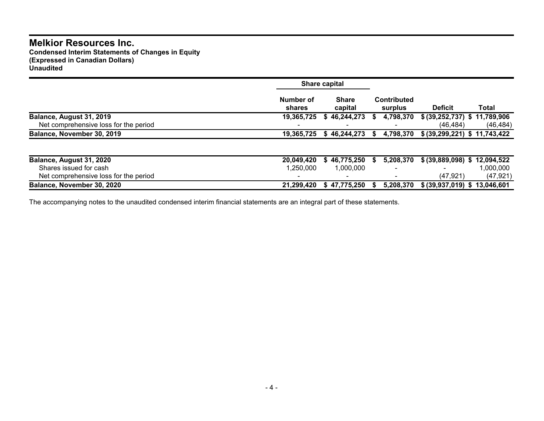# **Melkior Resources Inc.**

**Condensed Interim Statements of Changes in Equity (Expressed in Canadian Dollars) Unaudited**

|                                                                   |                     | Share capital           |    |                               |                                           |                        |
|-------------------------------------------------------------------|---------------------|-------------------------|----|-------------------------------|-------------------------------------------|------------------------|
|                                                                   | Number of<br>shares | <b>Share</b><br>capital |    | <b>Contributed</b><br>surplus | <b>Deficit</b>                            | Total                  |
| Balance, August 31, 2019<br>Net comprehensive loss for the period | 19,365,725          | 46,244,273<br>S         | æ. | 4,798,370                     | \$ (39,252,737) \$ 11,789,906<br>(46.484) | (46, 484)              |
| Balance, November 30, 2019                                        | 19,365,725          | 46,244,273<br>S.        | S. | 4,798,370                     | \$ (39,299,221) \$ 11,743,422             |                        |
| Balance, August 31, 2020                                          | 20,049,420          | 46,775,250<br>S         | S. | 5,208,370                     | \$ (39,889,098) \$ 12,094,522             |                        |
| Shares issued for cash<br>Net comprehensive loss for the period   | 1.250.000           | 1.000.000               |    | $\overline{\phantom{0}}$      | (47, 921)                                 | 1,000,000<br>(47, 921) |
| Balance, November 30, 2020                                        | 21,299,420          | \$47,775,250            |    | 5,208,370                     | \$ (39,937,019) \$ 13,046,601             |                        |

The accompanying notes to the unaudited condensed interim financial statements are an integral part of these statements.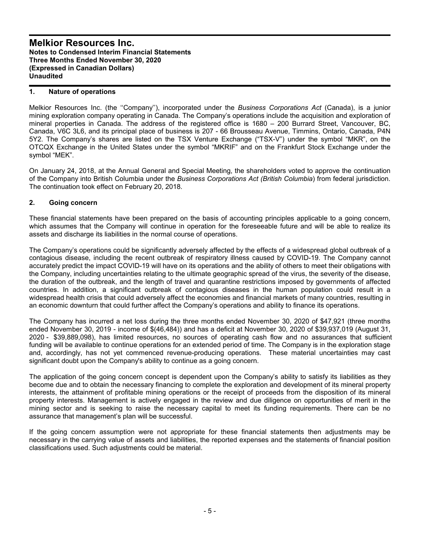# **1. Nature of operations**

Melkior Resources Inc. (the ''Company''), incorporated under the *Business Corporations Act* (Canada), is a junior mining exploration company operating in Canada. The Company's operations include the acquisition and exploration of mineral properties in Canada. The address of the registered office is 1680 – 200 Burrard Street, Vancouver, BC, Canada, V6C 3L6, and its principal place of business is 207 - 66 Brousseau Avenue, Timmins, Ontario, Canada, P4N 5Y2. The Company's shares are listed on the TSX Venture Exchange ("TSX-V") under the symbol "MKR", on the OTCQX Exchange in the United States under the symbol "MKRIF" and on the Frankfurt Stock Exchange under the symbol "MEK".

On January 24, 2018, at the Annual General and Special Meeting, the shareholders voted to approve the continuation of the Company into British Columbia under the *Business Corporations Act (British Columbia*) from federal jurisdiction. The continuation took effect on February 20, 2018.

# **2. Going concern**

These financial statements have been prepared on the basis of accounting principles applicable to a going concern, which assumes that the Company will continue in operation for the foreseeable future and will be able to realize its assets and discharge its liabilities in the normal course of operations.

The Company's operations could be significantly adversely affected by the effects of a widespread global outbreak of a contagious disease, including the recent outbreak of respiratory illness caused by COVID-19. The Company cannot accurately predict the impact COVID-19 will have on its operations and the ability of others to meet their obligations with the Company, including uncertainties relating to the ultimate geographic spread of the virus, the severity of the disease, the duration of the outbreak, and the length of travel and quarantine restrictions imposed by governments of affected countries. In addition, a significant outbreak of contagious diseases in the human population could result in a widespread health crisis that could adversely affect the economies and financial markets of many countries, resulting in an economic downturn that could further affect the Company's operations and ability to finance its operations.

The Company has incurred a net loss during the three months ended November 30, 2020 of \$47,921 (three months ended November 30, 2019 - income of \$(46,484)) and has a deficit at November 30, 2020 of \$39,937,019 (August 31, 2020 - \$39,889,098), has limited resources, no sources of operating cash flow and no assurances that sufficient funding will be available to continue operations for an extended period of time. The Company is in the exploration stage and, accordingly, has not yet commenced revenue-producing operations. These material uncertainties may cast significant doubt upon the Company's ability to continue as a going concern.

The application of the going concern concept is dependent upon the Company's ability to satisfy its liabilities as they become due and to obtain the necessary financing to complete the exploration and development of its mineral property interests, the attainment of profitable mining operations or the receipt of proceeds from the disposition of its mineral property interests. Management is actively engaged in the review and due diligence on opportunities of merit in the mining sector and is seeking to raise the necessary capital to meet its funding requirements. There can be no assurance that management's plan will be successful.

If the going concern assumption were not appropriate for these financial statements then adjustments may be necessary in the carrying value of assets and liabilities, the reported expenses and the statements of financial position classifications used. Such adjustments could be material.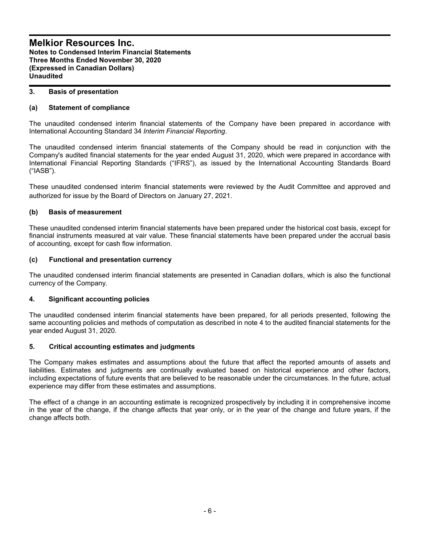## **3. Basis of presentation**

# **(a) Statement of compliance**

The unaudited condensed interim financial statements of the Company have been prepared in accordance with International Accounting Standard 34 *Interim Financial Reporting*.

The unaudited condensed interim financial statements of the Company should be read in conjunction with the Company's audited financial statements for the year ended August 31, 2020, which were prepared in accordance with International Financial Reporting Standards ("IFRS"), as issued by the International Accounting Standards Board ("IASB").

These unaudited condensed interim financial statements were reviewed by the Audit Committee and approved and authorized for issue by the Board of Directors on January 27, 2021.

## **(b) Basis of measurement**

These unaudited condensed interim financial statements have been prepared under the historical cost basis, except for financial instruments measured at vair value. These financial statements have been prepared under the accrual basis of accounting, except for cash flow information.

## **(c) Functional and presentation currency**

The unaudited condensed interim financial statements are presented in Canadian dollars, which is also the functional currency of the Company.

# **4. Significant accounting policies**

The unaudited condensed interim financial statements have been prepared, for all periods presented, following the same accounting policies and methods of computation as described in note 4 to the audited financial statements for the year ended August 31, 2020.

# **5. Critical accounting estimates and judgments**

The Company makes estimates and assumptions about the future that affect the reported amounts of assets and liabilities. Estimates and judgments are continually evaluated based on historical experience and other factors, including expectations of future events that are believed to be reasonable under the circumstances. In the future, actual experience may differ from these estimates and assumptions.

The effect of a change in an accounting estimate is recognized prospectively by including it in comprehensive income in the year of the change, if the change affects that year only, or in the year of the change and future years, if the change affects both.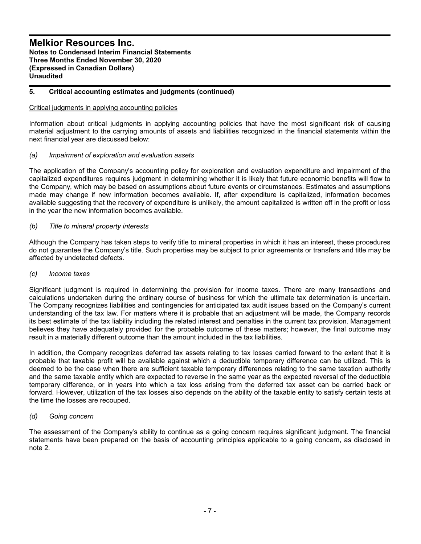# **5. Critical accounting estimates and judgments (continued)**

## Critical judgments in applying accounting policies

Information about critical judgments in applying accounting policies that have the most significant risk of causing material adjustment to the carrying amounts of assets and liabilities recognized in the financial statements within the next financial year are discussed below:

## *(a) Impairment of exploration and evaluation assets*

The application of the Company's accounting policy for exploration and evaluation expenditure and impairment of the capitalized expenditures requires judgment in determining whether it is likely that future economic benefits will flow to the Company, which may be based on assumptions about future events or circumstances. Estimates and assumptions made may change if new information becomes available. If, after expenditure is capitalized, information becomes available suggesting that the recovery of expenditure is unlikely, the amount capitalized is written off in the profit or loss in the year the new information becomes available.

## *(b) Title to mineral property interests*

Although the Company has taken steps to verify title to mineral properties in which it has an interest, these procedures do not guarantee the Company's title. Such properties may be subject to prior agreements or transfers and title may be affected by undetected defects.

#### *(c) Income taxes*

Significant judgment is required in determining the provision for income taxes. There are many transactions and calculations undertaken during the ordinary course of business for which the ultimate tax determination is uncertain. The Company recognizes liabilities and contingencies for anticipated tax audit issues based on the Company's current understanding of the tax law. For matters where it is probable that an adjustment will be made, the Company records its best estimate of the tax liability including the related interest and penalties in the current tax provision. Management believes they have adequately provided for the probable outcome of these matters; however, the final outcome may result in a materially different outcome than the amount included in the tax liabilities.

In addition, the Company recognizes deferred tax assets relating to tax losses carried forward to the extent that it is probable that taxable profit will be available against which a deductible temporary difference can be utilized. This is deemed to be the case when there are sufficient taxable temporary differences relating to the same taxation authority and the same taxable entity which are expected to reverse in the same year as the expected reversal of the deductible temporary difference, or in years into which a tax loss arising from the deferred tax asset can be carried back or forward. However, utilization of the tax losses also depends on the ability of the taxable entity to satisfy certain tests at the time the losses are recouped.

#### *(d) Going concern*

The assessment of the Company's ability to continue as a going concern requires significant judgment. The financial statements have been prepared on the basis of accounting principles applicable to a going concern, as disclosed in note 2.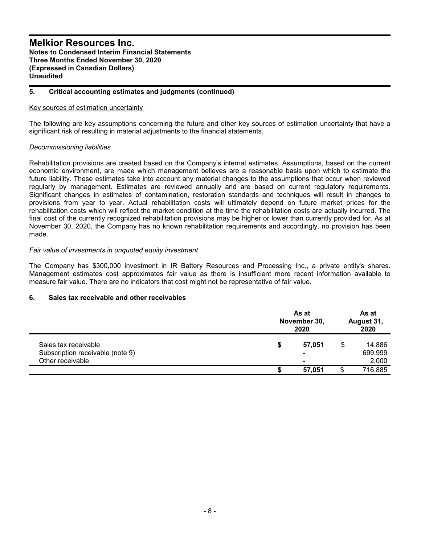## **5. Critical accounting estimates and judgments (continued)**

#### Key sources of estimation uncertainty

The following are key assumptions concerning the future and other key sources of estimation uncertainty that have a significant risk of resulting in material adjustments to the financial statements.

## *Decommissioning liabilities*

Rehabilitation provisions are created based on the Company's internal estimates. Assumptions, based on the current economic environment, are made which management believes are a reasonable basis upon which to estimate the future liability. These estimates take into account any material changes to the assumptions that occur when reviewed regularly by management. Estimates are reviewed annually and are based on current regulatory requirements. Significant changes in estimates of contamination, restoration standards and techniques will result in changes to provisions from year to year. Actual rehabilitation costs will ultimately depend on future market prices for the rehabilitation costs which will reflect the market condition at the time the rehabilitation costs are actually incurred. The final cost of the currently recognized rehabilitation provisions may be higher or lower than currently provided for. As at November 30, 2020, the Company has no known rehabilitation requirements and accordingly, no provision has been made.

## *Fair value of investments in unquoted equity investment*

The Company has \$300,000 investment in IR Battery Resources and Processing Inc., a private entity's shares. Management estimates cost approximates fair value as there is insufficient more recent information available to measure fair value. There are no indicators that cost might not be representative of fair value.

#### **6. Sales tax receivable and other receivables**

|                                  |   | As at<br>November 30,<br>2020 |    |         |
|----------------------------------|---|-------------------------------|----|---------|
| Sales tax receivable             | S | 57.051                        | \$ | 14,886  |
| Subscription receivable (note 9) |   | $\blacksquare$                |    | 699,999 |
| Other receivable                 |   | $\blacksquare$                |    | 2,000   |
|                                  |   | 57,051                        |    | 716,885 |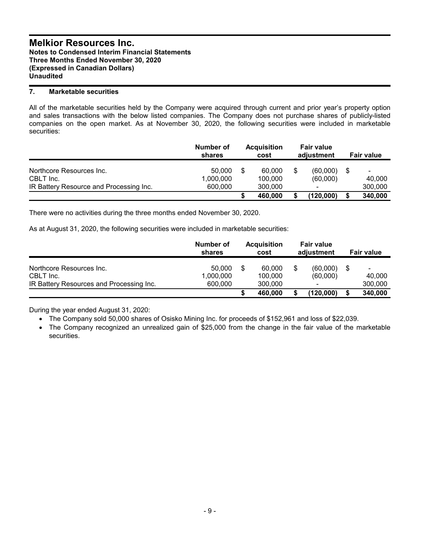# **7. Marketable securities**

All of the marketable securities held by the Company were acquired through current and prior year's property option and sales transactions with the below listed companies. The Company does not purchase shares of publicly-listed companies on the open market. As at November 30, 2020, the following securities were included in marketable securities:

|                                         | Number of<br>shares | <b>Acquisition</b><br>cost | <b>Fair value</b><br>adjustment |    | <b>Fair value</b>        |
|-----------------------------------------|---------------------|----------------------------|---------------------------------|----|--------------------------|
| Northcore Resources Inc.<br>CBLT Inc.   | 50.000<br>1,000,000 | 60,000<br>100.000          | (60,000)<br>(60,000)            | -S | $\blacksquare$<br>40.000 |
| IR Battery Resource and Processing Inc. | 600,000             | 300,000<br>460.000         | -<br>(120,000)                  | S  | 300,000<br>340,000       |

There were no activities during the three months ended November 30, 2020.

As at August 31, 2020, the following securities were included in marketable securities:

|                                          | Number of<br>shares | <b>Acquisition</b><br>cost | <b>Fair value</b><br>adjustment | Fair value        |
|------------------------------------------|---------------------|----------------------------|---------------------------------|-------------------|
| Northcore Resources Inc.<br>CBLT Inc.    | 50,000<br>1,000,000 | 60.000<br>100.000          | (60,000)<br>(60,000)            | \$<br>-<br>40.000 |
| IR Battery Resources and Processing Inc. | 600,000             | 300,000                    | $\blacksquare$                  | 300,000           |
|                                          |                     | 460,000                    | (120,000)                       | 340,000           |

During the year ended August 31, 2020:

The Company sold 50,000 shares of Osisko Mining Inc. for proceeds of \$152,961 and loss of \$22,039.

 The Company recognized an unrealized gain of \$25,000 from the change in the fair value of the marketable securities.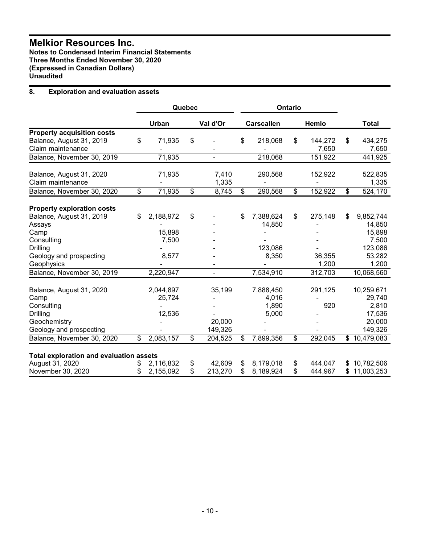# **Melkior Resources Inc.**

**Notes to Condensed Interim Financial Statements Three Months Ended November 30, 2020 (Expressed in Canadian Dollars) Unaudited**

# **8. Exploration and evaluation assets**

|                                                |                 | Quebec          |                |                          |                   | Ontario                 |         |                          |              |
|------------------------------------------------|-----------------|-----------------|----------------|--------------------------|-------------------|-------------------------|---------|--------------------------|--------------|
|                                                | Urban           |                 | Val d'Or       |                          | <b>Carscallen</b> |                         | Hemlo   |                          | <b>Total</b> |
| <b>Property acquisition costs</b>              |                 |                 |                |                          |                   |                         |         |                          |              |
| Balance, August 31, 2019                       | \$<br>71,935    | \$              |                | \$                       | 218,068           | \$                      | 144,272 | \$                       | 434,275      |
| Claim maintenance                              |                 |                 |                |                          |                   |                         | 7,650   |                          | 7,650        |
| Balance, November 30, 2019                     | 71,935          |                 | $\blacksquare$ |                          | 218,068           |                         | 151,922 |                          | 441,925      |
| Balance, August 31, 2020                       | 71,935          |                 | 7,410          |                          | 290,568           |                         | 152,922 |                          | 522,835      |
| Claim maintenance                              |                 |                 | 1,335          |                          |                   |                         |         |                          | 1,335        |
| Balance, November 30, 2020                     | \$<br>71,935    | $\overline{\$}$ | 8,745          | $\overline{\mathcal{S}}$ | 290,568           | $\overline{\mathbb{S}}$ | 152,922 | $\overline{\mathcal{L}}$ | 524,170      |
|                                                |                 |                 |                |                          |                   |                         |         |                          |              |
| <b>Property exploration costs</b>              |                 |                 |                |                          |                   |                         |         |                          |              |
| Balance, August 31, 2019                       | \$<br>2,188,972 | \$              |                | \$                       | 7,388,624         | \$                      | 275,148 | \$                       | 9,852,744    |
| Assays                                         |                 |                 |                |                          | 14,850            |                         |         |                          | 14,850       |
| Camp                                           | 15,898          |                 |                |                          |                   |                         |         |                          | 15,898       |
| Consulting                                     | 7,500           |                 |                |                          |                   |                         |         |                          | 7,500        |
| Drilling                                       |                 |                 |                |                          | 123,086           |                         |         |                          | 123,086      |
| Geology and prospecting                        | 8,577           |                 |                |                          | 8,350             |                         | 36,355  |                          | 53,282       |
| Geophysics                                     |                 |                 |                |                          |                   |                         | 1,200   |                          | 1,200        |
| Balance, November 30, 2019                     | 2,220,947       |                 | $\blacksquare$ |                          | 7,534,910         |                         | 312,703 |                          | 10,068,560   |
| Balance, August 31, 2020                       | 2,044,897       |                 | 35,199         |                          | 7,888,450         |                         | 291,125 |                          | 10,259,671   |
| Camp                                           | 25,724          |                 |                |                          | 4,016             |                         |         |                          | 29,740       |
| Consulting                                     |                 |                 |                |                          | 1,890             |                         | 920     |                          | 2,810        |
| Drilling                                       | 12,536          |                 |                |                          | 5,000             |                         |         |                          | 17,536       |
| Geochemistry                                   |                 |                 | 20,000         |                          |                   |                         |         |                          | 20,000       |
| Geology and prospecting                        |                 |                 | 149,326        |                          |                   |                         |         |                          | 149,326      |
| Balance, November 30, 2020                     | \$<br>2,083,157 | \$              | 204,525        | $\mathfrak{S}$           | 7,899,356         | $\mathfrak{S}$          | 292,045 |                          | \$10,479,083 |
| <b>Total exploration and evaluation assets</b> |                 |                 |                |                          |                   |                         |         |                          |              |
| August 31, 2020                                | \$<br>2,116,832 | \$              | 42,609         | \$                       | 8,179,018         | \$                      | 444,047 |                          | \$10,782,506 |
| November 30, 2020                              | \$<br>2,155,092 | \$              | 213,270        | \$                       | 8,189,924         | \$                      | 444,967 |                          | \$11,003,253 |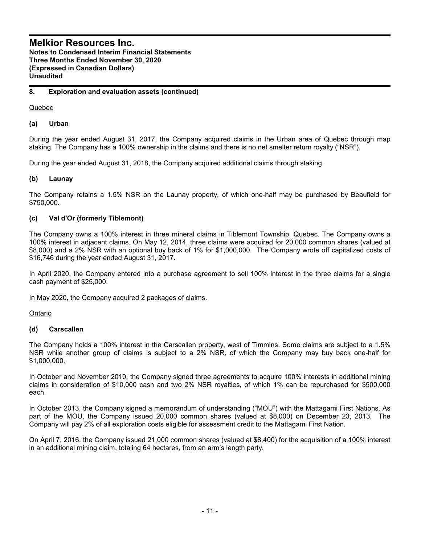# **8. Exploration and evaluation assets (continued)**

Quebec

# **(a) Urban**

During the year ended August 31, 2017, the Company acquired claims in the Urban area of Quebec through map staking. The Company has a 100% ownership in the claims and there is no net smelter return royalty ("NSR").

During the year ended August 31, 2018, the Company acquired additional claims through staking.

# **(b) Launay**

The Company retains a 1.5% NSR on the Launay property, of which one-half may be purchased by Beaufield for \$750,000.

# **(c) Val d'Or (formerly Tiblemont)**

The Company owns a 100% interest in three mineral claims in Tiblemont Township, Quebec. The Company owns a 100% interest in adjacent claims. On May 12, 2014, three claims were acquired for 20,000 common shares (valued at \$8,000) and a 2% NSR with an optional buy back of 1% for \$1,000,000. The Company wrote off capitalized costs of \$16,746 during the year ended August 31, 2017.

In April 2020, the Company entered into a purchase agreement to sell 100% interest in the three claims for a single cash payment of \$25,000.

In May 2020, the Company acquired 2 packages of claims.

Ontario

# **(d) Carscallen**

The Company holds a 100% interest in the Carscallen property, west of Timmins. Some claims are subject to a 1.5% NSR while another group of claims is subject to a 2% NSR, of which the Company may buy back one-half for \$1,000,000.

In October and November 2010, the Company signed three agreements to acquire 100% interests in additional mining claims in consideration of \$10,000 cash and two 2% NSR royalties, of which 1% can be repurchased for \$500,000 each.

In October 2013, the Company signed a memorandum of understanding ("MOU") with the Mattagami First Nations. As part of the MOU, the Company issued 20,000 common shares (valued at \$8,000) on December 23, 2013. The Company will pay 2% of all exploration costs eligible for assessment credit to the Mattagami First Nation.

On April 7, 2016, the Company issued 21,000 common shares (valued at \$8,400) for the acquisition of a 100% interest in an additional mining claim, totaling 64 hectares, from an arm's length party.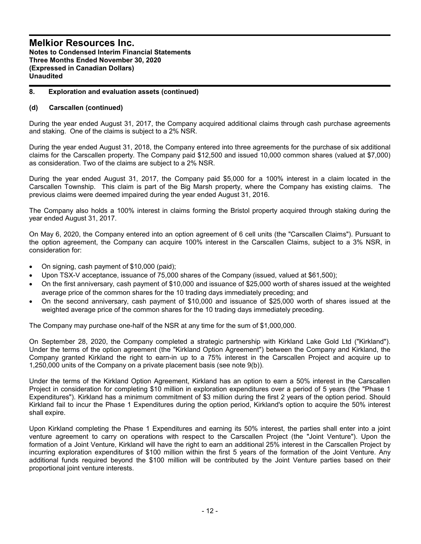# **8. Exploration and evaluation assets (continued)**

## **(d) Carscallen (continued)**

During the year ended August 31, 2017, the Company acquired additional claims through cash purchase agreements and staking. One of the claims is subject to a 2% NSR.

During the year ended August 31, 2018, the Company entered into three agreements for the purchase of six additional claims for the Carscallen property. The Company paid \$12,500 and issued 10,000 common shares (valued at \$7,000) as consideration. Two of the claims are subject to a 2% NSR.

During the year ended August 31, 2017, the Company paid \$5,000 for a 100% interest in a claim located in the Carscallen Township. This claim is part of the Big Marsh property, where the Company has existing claims. The previous claims were deemed impaired during the year ended August 31, 2016.

The Company also holds a 100% interest in claims forming the Bristol property acquired through staking during the year ended August 31, 2017.

On May 6, 2020, the Company entered into an option agreement of 6 cell units (the "Carscallen Claims"). Pursuant to the option agreement, the Company can acquire 100% interest in the Carscallen Claims, subject to a 3% NSR, in consideration for:

- On signing, cash payment of \$10,000 (paid);
- Upon TSX-V acceptance, issuance of 75,000 shares of the Company (issued, valued at \$61,500);
- On the first anniversary, cash payment of \$10,000 and issuance of \$25,000 worth of shares issued at the weighted average price of the common shares for the 10 trading days immediately preceding; and
- On the second anniversary, cash payment of \$10,000 and issuance of \$25,000 worth of shares issued at the weighted average price of the common shares for the 10 trading days immediately preceding.

The Company may purchase one-half of the NSR at any time for the sum of \$1,000,000.

On September 28, 2020, the Company completed a strategic partnership with Kirkland Lake Gold Ltd ("Kirkland"). Under the terms of the option agreement (the "Kirkland Option Agreement") between the Company and Kirkland, the Company granted Kirkland the right to earn-in up to a 75% interest in the Carscallen Project and acquire up to 1,250,000 units of the Company on a private placement basis (see note 9(b)).

Under the terms of the Kirkland Option Agreement, Kirkland has an option to earn a 50% interest in the Carscallen Project in consideration for completing \$10 million in exploration expenditures over a period of 5 years (the "Phase 1 Expenditures"). Kirkland has a minimum commitment of \$3 million during the first 2 years of the option period. Should Kirkland fail to incur the Phase 1 Expenditures during the option period, Kirkland's option to acquire the 50% interest shall expire.

Upon Kirkland completing the Phase 1 Expenditures and earning its 50% interest, the parties shall enter into a joint venture agreement to carry on operations with respect to the Carscallen Project (the "Joint Venture"). Upon the formation of a Joint Venture, Kirkland will have the right to earn an additional 25% interest in the Carscallen Project by incurring exploration expenditures of \$100 million within the first 5 years of the formation of the Joint Venture. Any additional funds required beyond the \$100 million will be contributed by the Joint Venture parties based on their proportional joint venture interests.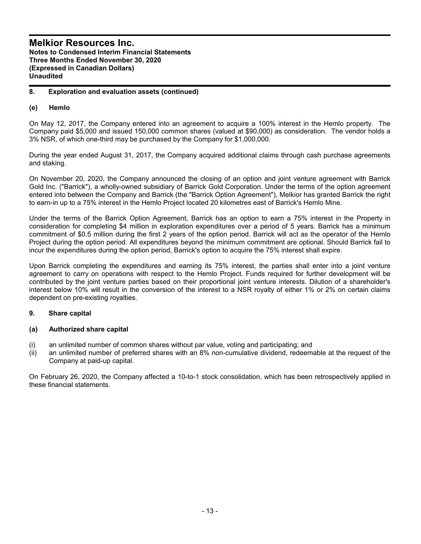# **8. Exploration and evaluation assets (continued)**

# **(e) Hemlo**

On May 12, 2017, the Company entered into an agreement to acquire a 100% interest in the Hemlo property. The Company paid \$5,000 and issued 150,000 common shares (valued at \$90,000) as consideration. The vendor holds a 3% NSR, of which one-third may be purchased by the Company for \$1,000,000.

During the year ended August 31, 2017, the Company acquired additional claims through cash purchase agreements and staking.

On November 20, 2020, the Company announced the closing of an option and joint venture agreement with Barrick Gold Inc. ("Barrick"), a wholly-owned subsidiary of Barrick Gold Corporation. Under the terms of the option agreement entered into between the Company and Barrick (the "Barrick Option Agreement"), Melkior has granted Barrick the right to earn-in up to a 75% interest in the Hemlo Project located 20 kilometres east of Barrick's Hemlo Mine.

Under the terms of the Barrick Option Agreement, Barrick has an option to earn a 75% interest in the Property in consideration for completing \$4 million in exploration expenditures over a period of 5 years. Barrick has a minimum commitment of \$0.5 million during the first 2 years of the option period. Barrick will act as the operator of the Hemlo Project during the option period. All expenditures beyond the minimum commitment are optional. Should Barrick fail to incur the expenditures during the option period, Barrick's option to acquire the 75% interest shall expire.

Upon Barrick completing the expenditures and earning its 75% interest, the parties shall enter into a joint venture agreement to carry on operations with respect to the Hemlo Project. Funds required for further development will be contributed by the joint venture parties based on their proportional joint venture interests. Dilution of a shareholder's interest below 10% will result in the conversion of the interest to a NSR royalty of either 1% or 2% on certain claims dependent on pre-existing royalties.

# **9. Share capital**

# **(a) Authorized share capital**

- (i) an unlimited number of common shares without par value, voting and participating; and
- (ii) an unlimited number of preferred shares with an 8% non-cumulative dividend, redeemable at the request of the Company at paid-up capital.

On February 26, 2020, the Company affected a 10-to-1 stock consolidation, which has been retrospectively applied in these financial statements.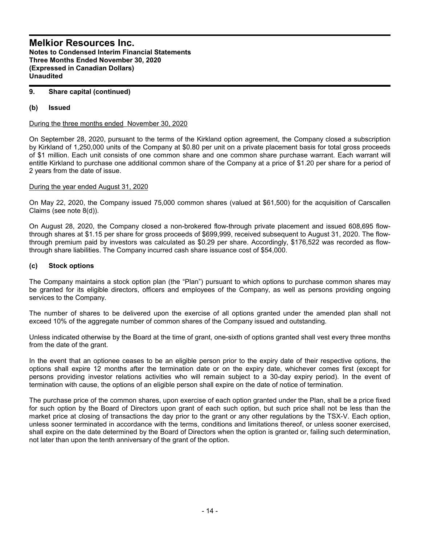# **9. Share capital (continued)**

# **(b) Issued**

During the three months ended November 30, 2020

On September 28, 2020, pursuant to the terms of the Kirkland option agreement, the Company closed a subscription by Kirkland of 1,250,000 units of the Company at \$0.80 per unit on a private placement basis for total gross proceeds of \$1 million. Each unit consists of one common share and one common share purchase warrant. Each warrant will entitle Kirkland to purchase one additional common share of the Company at a price of \$1.20 per share for a period of 2 years from the date of issue.

## During the year ended August 31, 2020

On May 22, 2020, the Company issued 75,000 common shares (valued at \$61,500) for the acquisition of Carscallen Claims (see note 8(d)).

On August 28, 2020, the Company closed a non-brokered flow-through private placement and issued 608,695 flowthrough shares at \$1.15 per share for gross proceeds of \$699,999, received subsequent to August 31, 2020. The flowthrough premium paid by investors was calculated as \$0.29 per share. Accordingly, \$176,522 was recorded as flowthrough share liabilities. The Company incurred cash share issuance cost of \$54,000.

# **(c) Stock options**

The Company maintains a stock option plan (the "Plan") pursuant to which options to purchase common shares may be granted for its eligible directors, officers and employees of the Company, as well as persons providing ongoing services to the Company.

The number of shares to be delivered upon the exercise of all options granted under the amended plan shall not exceed 10% of the aggregate number of common shares of the Company issued and outstanding.

Unless indicated otherwise by the Board at the time of grant, one-sixth of options granted shall vest every three months from the date of the grant.

In the event that an optionee ceases to be an eligible person prior to the expiry date of their respective options, the options shall expire 12 months after the termination date or on the expiry date, whichever comes first (except for persons providing investor relations activities who will remain subject to a 30-day expiry period). In the event of termination with cause, the options of an eligible person shall expire on the date of notice of termination.

The purchase price of the common shares, upon exercise of each option granted under the Plan, shall be a price fixed for such option by the Board of Directors upon grant of each such option, but such price shall not be less than the market price at closing of transactions the day prior to the grant or any other regulations by the TSX-V. Each option, unless sooner terminated in accordance with the terms, conditions and limitations thereof, or unless sooner exercised, shall expire on the date determined by the Board of Directors when the option is granted or, failing such determination, not later than upon the tenth anniversary of the grant of the option.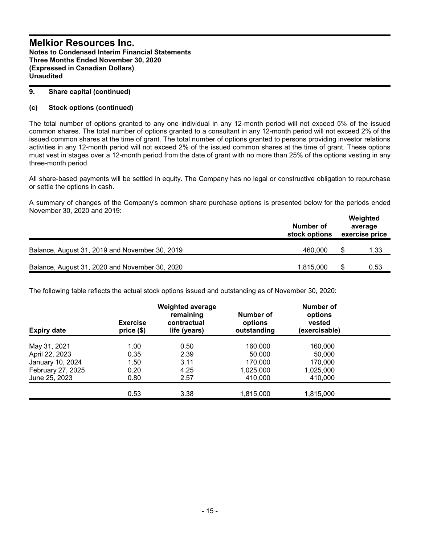## **9. Share capital (continued)**

# **(c) Stock options (continued)**

The total number of options granted to any one individual in any 12-month period will not exceed 5% of the issued common shares. The total number of options granted to a consultant in any 12-month period will not exceed 2% of the issued common shares at the time of grant. The total number of options granted to persons providing investor relations activities in any 12-month period will not exceed 2% of the issued common shares at the time of grant. These options must vest in stages over a 12-month period from the date of grant with no more than 25% of the options vesting in any three-month period.

All share-based payments will be settled in equity. The Company has no legal or constructive obligation to repurchase or settle the options in cash.

A summary of changes of the Company's common share purchase options is presented below for the periods ended November 30, 2020 and 2019:

|                                                | Number of<br>stock options | Weighted<br>average<br>exercise price |      |  |
|------------------------------------------------|----------------------------|---------------------------------------|------|--|
| Balance, August 31, 2019 and November 30, 2019 | 460,000                    | S                                     | 1.33 |  |
| Balance, August 31, 2020 and November 30, 2020 | 1.815.000                  |                                       | 0.53 |  |

The following table reflects the actual stock options issued and outstanding as of November 30, 2020:

| <b>Expiry date</b> | <b>Exercise</b><br>price(\$) | <b>Weighted average</b><br>remaining<br>contractual<br>life (years) | Number of<br>options<br>outstanding | Number of<br>options<br>vested<br>(exercisable) |  |
|--------------------|------------------------------|---------------------------------------------------------------------|-------------------------------------|-------------------------------------------------|--|
|                    |                              |                                                                     |                                     |                                                 |  |
| May 31, 2021       | 1.00                         | 0.50                                                                | 160,000                             | 160.000                                         |  |
| April 22, 2023     | 0.35                         | 2.39                                                                | 50,000                              | 50,000                                          |  |
| January 10, 2024   | 1.50                         | 3.11                                                                | 170,000                             | 170,000                                         |  |
| February 27, 2025  | 0.20                         | 4.25                                                                | 1,025,000                           | 1,025,000                                       |  |
| June 25, 2023      | 0.80                         | 2.57                                                                | 410,000                             | 410,000                                         |  |
|                    |                              |                                                                     |                                     |                                                 |  |
|                    | 0.53                         | 3.38                                                                | 1,815,000                           | 1,815,000                                       |  |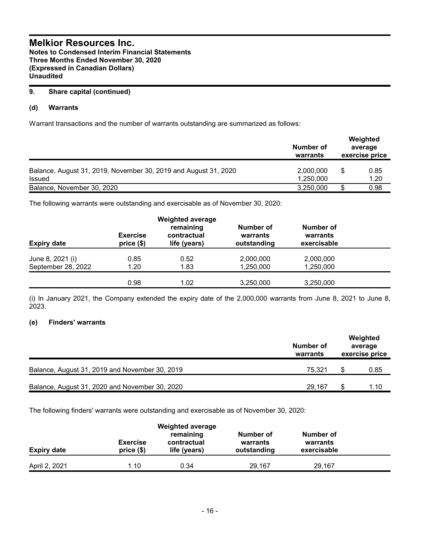# **9. Share capital (continued)**

# **(d) Warrants**

Warrant transactions and the number of warrants outstanding are summarized as follows:

|                                                                                  | Number of<br>warrants  | Weighted<br>average<br>exercise price |
|----------------------------------------------------------------------------------|------------------------|---------------------------------------|
| Balance, August 31, 2019, November 30, 2019 and August 31, 2020<br><b>Issued</b> | 2,000,000<br>1,250,000 | 0.85<br>1.20                          |
| Balance, November 30, 2020                                                       | 3,250,000              | 0.98                                  |

The following warrants were outstanding and exercisable as of November 30, 2020:

| <b>Expiry date</b> | <b>Exercise</b><br>price(\$) | <b>Weighted average</b><br>remaining<br>contractual<br>life (years) | Number of<br>warrants<br>outstanding | Number of<br>warrants<br>exercisable |  |
|--------------------|------------------------------|---------------------------------------------------------------------|--------------------------------------|--------------------------------------|--|
| June 8, 2021 (i)   | 0.85                         | 0.52                                                                | 2,000,000                            | 2,000,000                            |  |
| September 28, 2022 | 1.20                         | 1.83                                                                | 1,250,000                            | 1,250,000                            |  |
|                    | 0.98                         | 1.02                                                                | 3,250,000                            | 3,250,000                            |  |

(i) In January 2021, the Company extended the expiry date of the 2,000,000 warrants from June 8, 2021 to June 8, 2023.

# **(e) Finders' warrants**

|                                                | Number of<br>warrants | Weighted<br>average<br>exercise price |      |
|------------------------------------------------|-----------------------|---------------------------------------|------|
| Balance, August 31, 2019 and November 30, 2019 | 75.321                |                                       | 0.85 |
| Balance, August 31, 2020 and November 30, 2020 | 29.167                | \$.                                   | 1.10 |

The following finders' warrants were outstanding and exercisable as of November 30, 2020:

| <b>Expiry date</b> | <b>Exercise</b><br>$price($)$ | <b>Weighted average</b><br>remaining<br>contractual<br>life (years) | Number of<br>warrants<br>outstanding | Number of<br>warrants<br>exercisable |  |
|--------------------|-------------------------------|---------------------------------------------------------------------|--------------------------------------|--------------------------------------|--|
| April 2, 2021      | 1.10                          | 0.34                                                                | 29,167                               | 29,167                               |  |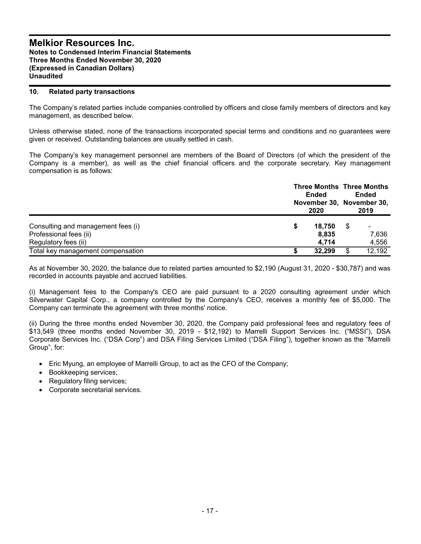## **10. Related party transactions**

The Company's related parties include companies controlled by officers and close family members of directors and key management, as described below.

Unless otherwise stated, none of the transactions incorporated special terms and conditions and no guarantees were given or received. Outstanding balances are usually settled in cash.

The Company's key management personnel are members of the Board of Directors (of which the president of the Company is a member), as well as the chief financial officers and the corporate secretary. Key management compensation is as follows:

|                                    | <b>Ended</b><br>2020 |   | <b>Three Months Three Months</b><br>Ended<br>November 30, November 30,<br>2019 |  |
|------------------------------------|----------------------|---|--------------------------------------------------------------------------------|--|
| Consulting and management fees (i) | 18.750               | S | ۰                                                                              |  |
| Professional fees (ii)             | 8,835                |   | 7,636                                                                          |  |
| Regulatory fees (ii)               | 4.714                |   | 4,556                                                                          |  |
| Total key management compensation  | 32.299               | S | 12,192                                                                         |  |

As at November 30, 2020, the balance due to related parties amounted to \$2,190 (August 31, 2020 - \$30,787) and was recorded in accounts payable and accrued liabilities.

(i) Management fees to the Company's CEO are paid pursuant to a 2020 consulting agreement under which Silverwater Capital Corp., a company controlled by the Company's CEO, receives a monthly fee of \$5,000. The Company can terminate the agreement with three months' notice.

(ii) During the three months ended November 30, 2020, the Company paid professional fees and regulatory fees of \$13,549 (three months ended November 30, 2019 - \$12,192) to Marrelli Support Services Inc. ("MSSI"), DSA Corporate Services Inc. ("DSA Corp") and DSA Filing Services Limited ("DSA Filing"), together known as the "Marrelli Group", for:

- Eric Myung, an employee of Marrelli Group, to act as the CFO of the Company;
- Bookkeeping services;
- Regulatory filing services;
- Corporate secretarial services.